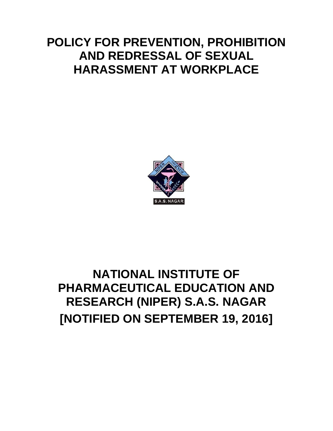# **POLICY FOR PREVENTION, PROHIBITION AND REDRESSAL OF SEXUAL HARASSMENT AT WORKPLACE**



# **NATIONAL INSTITUTE OF PHARMACEUTICAL EDUCATION AND RESEARCH (NIPER) S.A.S. NAGAR [NOTIFIED ON SEPTEMBER 19, 2016]**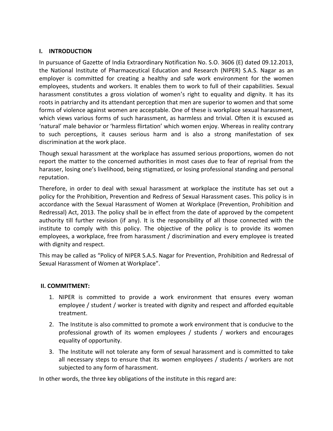# **I. INTRODUCTION**

In pursuance of Gazette of India Extraordinary Notification No. S.O. 3606 (E) dated 09.12.2013, the National Institute of Pharmaceutical Education and Research (NIPER) S.A.S. Nagar as an employer is committed for creating a healthy and safe work environment for the women employees, students and workers. It enables them to work to full of their capabilities. Sexual harassment constitutes a gross violation of women's right to equality and dignity. It has its roots in patriarchy and its attendant perception that men are superior to women and that some forms of violence against women are acceptable. One of these is workplace sexual harassment, which views various forms of such harassment, as harmless and trivial. Often it is excused as 'natural' male behavior or 'harmless flirtation' which women enjoy. Whereas in reality contrary to such perceptions, it causes serious harm and is also a strong manifestation of sex discrimination at the work place.

Though sexual harassment at the workplace has assumed serious proportions, women do not report the matter to the concerned authorities in most cases due to fear of reprisal from the harasser, losing one's livelihood, being stigmatized, or losing professional standing and personal reputation.

Therefore, in order to deal with sexual harassment at workplace the institute has set out a policy for the Prohibition, Prevention and Redress of Sexual Harassment cases. This policy is in accordance with the Sexual Harassment of Women at Workplace (Prevention, Prohibition and Redressal) Act, 2013. The policy shall be in effect from the date of approved by the competent authority till further revision (if any). It is the responsibility of all those connected with the institute to comply with this policy. The objective of the policy is to provide its women employees, a workplace, free from harassment / discrimination and every employee is treated with dignity and respect.

This may be called as "Policy of NIPER S.A.S. Nagar for Prevention, Prohibition and Redressal of Sexual Harassment of Women at Workplace".

## **II. COMMITMENT:**

- 1. NIPER is committed to provide a work environment that ensures every woman employee / student / worker is treated with dignity and respect and afforded equitable treatment.
- 2. The Institute is also committed to promote a work environment that is conducive to the professional growth of its women employees / students / workers and encourages equality of opportunity.
- 3. The Institute will not tolerate any form of sexual harassment and is committed to take all necessary steps to ensure that its women employees / students / workers are not subjected to any form of harassment.

In other words, the three key obligations of the institute in this regard are: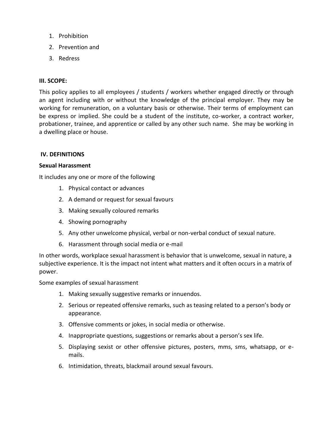- 1. Prohibition
- 2. Prevention and
- 3. Redress

## **III. SCOPE:**

This policy applies to all employees / students / workers whether engaged directly or through an agent including with or without the knowledge of the principal employer. They may be working for remuneration, on a voluntary basis or otherwise. Their terms of employment can be express or implied. She could be a student of the institute, co-worker, a contract worker, probationer, trainee, and apprentice or called by any other such name. She may be working in a dwelling place or house.

#### **IV. DEFINITIONS**

#### **Sexual Harassment**

It includes any one or more of the following

- 1. Physical contact or advances
- 2. A demand or request for sexual favours
- 3. Making sexually coloured remarks
- 4. Showing pornography
- 5. Any other unwelcome physical, verbal or non-verbal conduct of sexual nature.
- 6. Harassment through social media or e-mail

In other words, workplace sexual harassment is behavior that is unwelcome, sexual in nature, a subjective experience. It is the impact not intent what matters and it often occurs in a matrix of power.

Some examples of sexual harassment

- 1. Making sexually suggestive remarks or innuendos.
- 2. Serious or repeated offensive remarks, such as teasing related to a person's body or appearance.
- 3. Offensive comments or jokes, in social media or otherwise.
- 4. Inappropriate questions, suggestions or remarks about a person's sex life.
- 5. Displaying sexist or other offensive pictures, posters, mms, sms, whatsapp, or emails.
- 6. Intimidation, threats, blackmail around sexual favours.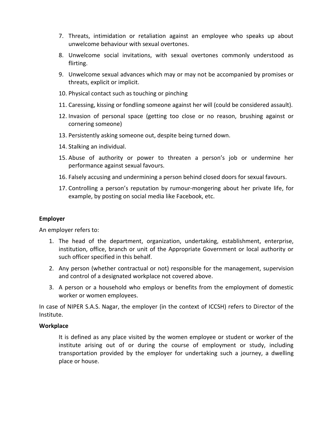- 7. Threats, intimidation or retaliation against an employee who speaks up about unwelcome behaviour with sexual overtones.
- 8. Unwelcome social invitations, with sexual overtones commonly understood as flirting.
- 9. Unwelcome sexual advances which may or may not be accompanied by promises or threats, explicit or implicit.
- 10. Physical contact such as touching or pinching
- 11. Caressing, kissing or fondling someone against her will (could be considered assault).
- 12. Invasion of personal space (getting too close or no reason, brushing against or cornering someone)
- 13. Persistently asking someone out, despite being turned down.
- 14. Stalking an individual.
- 15. Abuse of authority or power to threaten a person's job or undermine her performance against sexual favours.
- 16. Falsely accusing and undermining a person behind closed doors for sexual favours.
- 17. Controlling a person's reputation by rumour-mongering about her private life, for example, by posting on social media like Facebook, etc.

# **Employer**

An employer refers to:

- 1. The head of the department, organization, undertaking, establishment, enterprise, institution, office, branch or unit of the Appropriate Government or local authority or such officer specified in this behalf.
- 2. Any person (whether contractual or not) responsible for the management, supervision and control of a designated workplace not covered above.
- 3. A person or a household who employs or benefits from the employment of domestic worker or women employees.

In case of NIPER S.A.S. Nagar, the employer (in the context of ICCSH) refers to Director of the Institute.

## **Workplace**

It is defined as any place visited by the women employee or student or worker of the institute arising out of or during the course of employment or study, including transportation provided by the employer for undertaking such a journey, a dwelling place or house.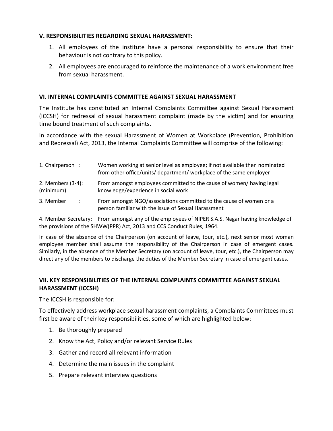# **V. RESPONSIBILITIES REGARDING SEXUAL HARASSMENT:**

- 1. All employees of the institute have a personal responsibility to ensure that their behaviour is not contrary to this policy.
- 2. All employees are encouraged to reinforce the maintenance of a work environment free from sexual harassment.

# **VI. INTERNAL COMPLAINTS COMMITTEE AGAINST SEXUAL HARASSMENT**

The Institute has constituted an Internal Complaints Committee against Sexual Harassment (ICCSH) for redressal of sexual harassment complaint (made by the victim) and for ensuring time bound treatment of such complaints.

In accordance with the sexual Harassment of Women at Workplace (Prevention, Prohibition and Redressal) Act, 2013, the Internal Complaints Committee will comprise of the following:

| 1. Chairperson :  | Women working at senior level as employee; if not available then nominated<br>from other office/units/ department/ workplace of the same employer |
|-------------------|---------------------------------------------------------------------------------------------------------------------------------------------------|
| 2. Members (3-4): | From amongst employees committed to the cause of women/ having legal                                                                              |
| (minimum)         | knowledge/experience in social work                                                                                                               |
| 3. Member         | From amongst NGO/associations committed to the cause of women or a                                                                                |
| $\mathcal{L}$     | person familiar with the issue of Sexual Harassment                                                                                               |

4. Member Secretary: From amongst any of the employees of NIPER S.A.S. Nagar having knowledge of the provisions of the SHWW(PPR) Act, 2013 and CCS Conduct Rules, 1964.

In case of the absence of the Chairperson (on account of leave, tour, etc.), next senior most woman employee member shall assume the responsibility of the Chairperson in case of emergent cases. Similarly, in the absence of the Member Secretary (on account of leave, tour, etc.), the Chairperson may direct any of the members to discharge the duties of the Member Secretary in case of emergent cases.

# **VII. KEY RESPONSIBILITIES OF THE INTERNAL COMPLAINTS COMMITTEE AGAINST SEXUAL HARASSMENT (ICCSH)**

The ICCSH is responsible for:

To effectively address workplace sexual harassment complaints, a Complaints Committees must first be aware of their key responsibilities, some of which are highlighted below:

- 1. Be thoroughly prepared
- 2. Know the Act, Policy and/or relevant Service Rules
- 3. Gather and record all relevant information
- 4. Determine the main issues in the complaint
- 5. Prepare relevant interview questions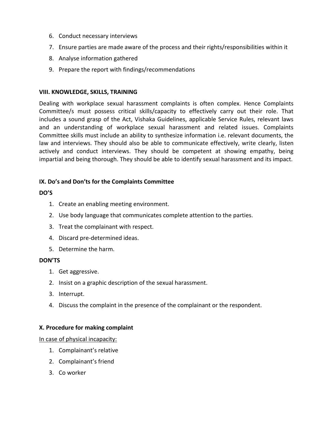- 6. Conduct necessary interviews
- 7. Ensure parties are made aware of the process and their rights/responsibilities within it
- 8. Analyse information gathered
- 9. Prepare the report with findings/recommendations

#### **VIII. KNOWLEDGE, SKILLS, TRAINING**

Dealing with workplace sexual harassment complaints is often complex. Hence Complaints Committee/s must possess critical skills/capacity to effectively carry out their role. That includes a sound grasp of the Act, Vishaka Guidelines, applicable Service Rules, relevant laws and an understanding of workplace sexual harassment and related issues. Complaints Committee skills must include an ability to synthesize information i.e. relevant documents, the law and interviews. They should also be able to communicate effectively, write clearly, listen actively and conduct interviews. They should be competent at showing empathy, being impartial and being thorough. They should be able to identify sexual harassment and its impact.

## **IX. Do's and Don'ts for the Complaints Committee**

#### **DO'S**

- 1. Create an enabling meeting environment.
- 2. Use body language that communicates complete attention to the parties.
- 3. Treat the complainant with respect.
- 4. Discard pre-determined ideas.
- 5. Determine the harm.

## **DON'TS**

- 1. Get aggressive.
- 2. Insist on a graphic description of the sexual harassment.
- 3. Interrupt.
- 4. Discuss the complaint in the presence of the complainant or the respondent.

## **X. Procedure for making complaint**

In case of physical incapacity:

- 1. Complainant's relative
- 2. Complainant's friend
- 3. Co worker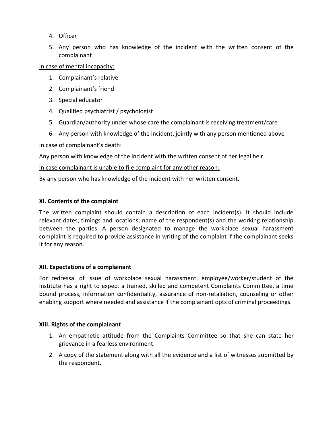- 4. Officer
- 5. Any person who has knowledge of the incident with the written consent of the complainant

In case of mental incapacity:

- 1. Complainant's relative
- 2. Complainant's friend
- 3. Special educator
- 4. Qualified psychiatrist / psychologist
- 5. Guardian/authority under whose care the complainant is receiving treatment/care
- 6. Any person with knowledge of the incident, jointly with any person mentioned above

# In case of complainant's death:

Any person with knowledge of the incident with the written consent of her legal heir.

# In case complainant is unable to file complaint for any other reason:

By any person who has knowledge of the incident with her written consent.

# **XI. Contents of the complaint**

The written complaint should contain a description of each incident(s). It should include relevant dates, timings and locations; name of the respondent(s) and the working relationship between the parties. A person designated to manage the workplace sexual harassment complaint is required to provide assistance in writing of the complaint if the complainant seeks it for any reason.

## **XII. Expectations of a complainant**

For redressal of issue of workplace sexual harassment, employee/worker/student of the institute has a right to expect a trained, skilled and competent Complaints Committee, a time bound process, information confidentiality, assurance of non-retaliation, counseling or other enabling support where needed and assistance if the complainant opts of criminal proceedings.

## **XIII. Rights of the complainant**

- 1. An empathetic attitude from the Complaints Committee so that she can state her grievance in a fearless environment.
- 2. A copy of the statement along with all the evidence and a list of witnesses submitted by the respondent.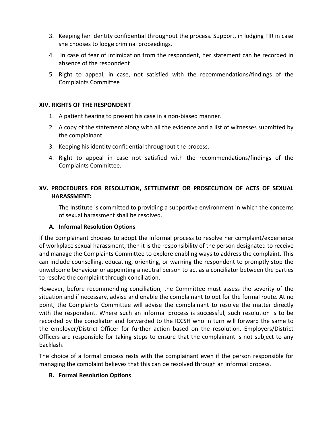- 3. Keeping her identity confidential throughout the process. Support, in lodging FIR in case she chooses to lodge criminal proceedings.
- 4. In case of fear of intimidation from the respondent, her statement can be recorded in absence of the respondent
- 5. Right to appeal, in case, not satisfied with the recommendations/findings of the Complaints Committee

# **XIV. RIGHTS OF THE RESPONDENT**

- 1. A patient hearing to present his case in a non-biased manner.
- 2. A copy of the statement along with all the evidence and a list of witnesses submitted by the complainant.
- 3. Keeping his identity confidential throughout the process.
- 4. Right to appeal in case not satisfied with the recommendations/findings of the Complaints Committee.

# **XV. PROCEDURES FOR RESOLUTION, SETTLEMENT OR PROSECUTION OF ACTS OF SEXUAL HARASSMENT:**

The Institute is committed to providing a supportive environment in which the concerns of sexual harassment shall be resolved.

# **A. Informal Resolution Options**

If the complainant chooses to adopt the informal process to resolve her complaint/experience of workplace sexual harassment, then it is the responsibility of the person designated to receive and manage the Complaints Committee to explore enabling ways to address the complaint. This can include counselling, educating, orienting, or warning the respondent to promptly stop the unwelcome behaviour or appointing a neutral person to act as a conciliator between the parties to resolve the complaint through conciliation.

However, before recommending conciliation, the Committee must assess the severity of the situation and if necessary, advise and enable the complainant to opt for the formal route. At no point, the Complaints Committee will advise the complainant to resolve the matter directly with the respondent. Where such an informal process is successful, such resolution is to be recorded by the conciliator and forwarded to the ICCSH who in turn will forward the same to the employer/District Officer for further action based on the resolution. Employers/District Officers are responsible for taking steps to ensure that the complainant is not subject to any backlash.

The choice of a formal process rests with the complainant even if the person responsible for managing the complaint believes that this can be resolved through an informal process.

# **B. Formal Resolution Options**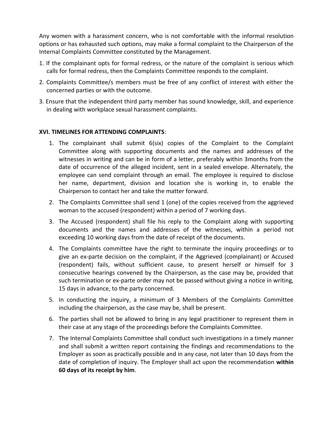Any women with a harassment concern, who is not comfortable with the informal resolution options or has exhausted such options, may make a formal complaint to the Chairperson of the Internal Complaints Committee constituted by the Management.

- 1. If the complainant opts for formal redress, or the nature of the complaint is serious which calls for formal redress, then the Complaints Committee responds to the complaint.
- 2. Complaints Committee/s members must be free of any conflict of interest with either the concerned parties or with the outcome.
- 3. Ensure that the independent third party member has sound knowledge, skill, and experience in dealing with workplace sexual harassment complaints.

## **XVI. TIMELINES FOR ATTENDING COMPLAINTS**:

- 1. The complainant shall submit 6(six) copies of the Complaint to the Complaint Committee along with supporting documents and the names and addresses of the witnesses in writing and can be in form of a letter, preferably within 3months from the date of occurrence of the alleged incident, sent in a sealed envelope. Alternately, the employee can send complaint through an email. The employee is required to disclose her name, department, division and location she is working in, to enable the Chairperson to contact her and take the matter forward.
- 2. The Complaints Committee shall send 1 (one) of the copies received from the aggrieved woman to the accused (respondent) within a period of 7 working days.
- 3. The Accused (respondent) shall file his reply to the Complaint along with supporting documents and the names and addresses of the witnesses, within a period not exceeding 10 working days from the date of receipt of the documents.
- 4. The Complaints committee have the right to terminate the inquiry proceedings or to give an ex-parte decision on the complaint, if the Aggrieved (complainant) or Accused (respondent) fails, without sufficient cause, to present herself or himself for 3 consecutive hearings convened by the Chairperson, as the case may be, provided that such termination or ex-parte order may not be passed without giving a notice in writing, 15 days in advance, to the party concerned.
- 5. In conducting the inquiry, a minimum of 3 Members of the Complaints Committee including the chairperson, as the case may be, shall be present.
- 6. The parties shall not be allowed to bring in any legal practitioner to represent them in their case at any stage of the proceedings before the Complaints Committee.
- 7. The Internal Complaints Committee shall conduct such investigations in a timely manner and shall submit a written report containing the findings and recommendations to the Employer as soon as practically possible and in any case, not later than 10 days from the date of completion of inquiry. The Employer shall act upon the recommendation **within 60 days of its receipt by him**.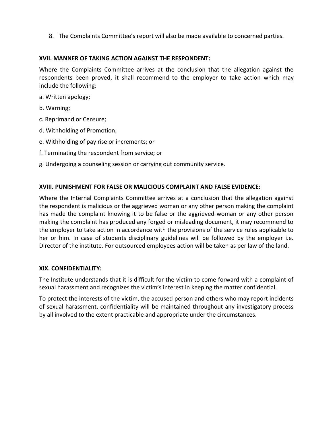8. The Complaints Committee's report will also be made available to concerned parties.

# **XVII. MANNER OF TAKING ACTION AGAINST THE RESPONDENT:**

Where the Complaints Committee arrives at the conclusion that the allegation against the respondents been proved, it shall recommend to the employer to take action which may include the following:

a. Written apology;

- b. Warning;
- c. Reprimand or Censure;
- d. Withholding of Promotion;
- e. Withholding of pay rise or increments; or
- f. Terminating the respondent from service; or
- g. Undergoing a counseling session or carrying out community service.

## **XVIII. PUNISHMENT FOR FALSE OR MALICIOUS COMPLAINT AND FALSE EVIDENCE:**

Where the Internal Complaints Committee arrives at a conclusion that the allegation against the respondent is malicious or the aggrieved woman or any other person making the complaint has made the complaint knowing it to be false or the aggrieved woman or any other person making the complaint has produced any forged or misleading document, it may recommend to the employer to take action in accordance with the provisions of the service rules applicable to her or him. In case of students disciplinary guidelines will be followed by the employer i.e. Director of the institute. For outsourced employees action will be taken as per law of the land.

#### **XIX. CONFIDENTIALITY:**

The Institute understands that it is difficult for the victim to come forward with a complaint of sexual harassment and recognizes the victim's interest in keeping the matter confidential.

To protect the interests of the victim, the accused person and others who may report incidents of sexual harassment, confidentiality will be maintained throughout any investigatory process by all involved to the extent practicable and appropriate under the circumstances.